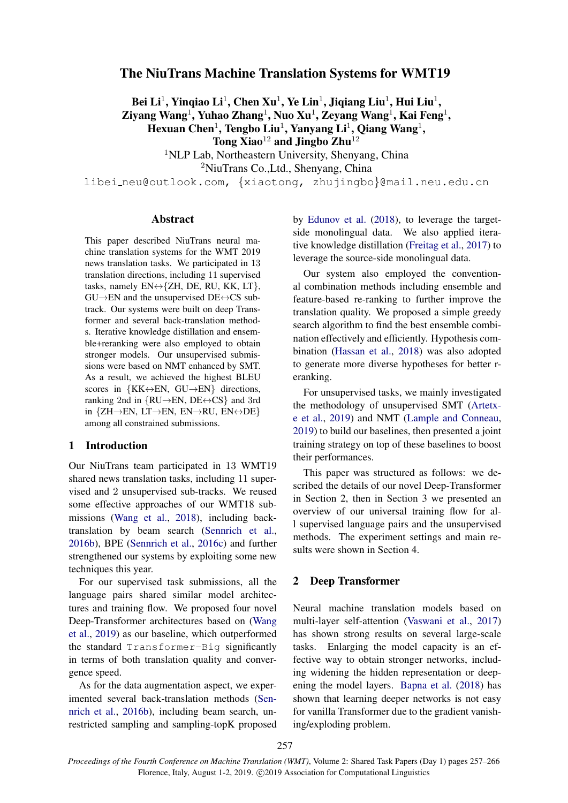# The NiuTrans Machine Translation Systems for WMT19

Bei Li $^1$ , Yinqiao Li $^1$ , Chen Xu $^1$ , Ye Lin $^1$ , Jiqiang Liu $^1$ , Hui Liu $^1$ ,  $\mathbf{Z}$ iyang Wang $^1$ , Yuhao  $\mathbf{Z}$ hang $^1$ , Nuo  $\mathbf{Xu}^1$ ,  $\mathbf{Z}$ eyang Wang $^1$ , Kai Feng $^1$ , Hexuan Chen<sup>1</sup>, Tengbo Liu<sup>1</sup>, Yanyang Li<sup>1</sup>, Qiang Wang<sup>1</sup>, Tong Xiao<sup>12</sup> and Jingbo Zhu<sup>12</sup>

<sup>1</sup>NLP Lab, Northeastern University, Shenyang, China

<sup>2</sup>NiuTrans Co.,Ltd., Shenyang, China

libei neu@outlook.com, {xiaotong, zhujingbo}@mail.neu.edu.cn

### Abstract

This paper described NiuTrans neural machine translation systems for the WMT 2019 news translation tasks. We participated in 13 translation directions, including 11 supervised tasks, namely EN↔{ZH, DE, RU, KK, LT},  $GU\rightarrow EN$  and the unsupervised  $DE \leftrightarrow CS$  subtrack. Our systems were built on deep Transformer and several back-translation methods. Iterative knowledge distillation and ensemble+reranking were also employed to obtain stronger models. Our unsupervised submissions were based on NMT enhanced by SMT. As a result, we achieved the highest BLEU scores in  $\{KK \leftrightarrow EN, GU \rightarrow EN\}$  directions, ranking 2nd in  $\{RU \rightarrow EN, DE \leftrightarrow CS\}$  and 3rd in {ZH→EN, LT→EN, EN→RU, EN↔DE} among all constrained submissions.

# 1 Introduction

Our NiuTrans team participated in 13 WMT19 shared news translation tasks, including 11 supervised and 2 unsupervised sub-tracks. We reused some effective approaches of our WMT18 submissions [\(Wang et al.,](#page-9-0) [2018\)](#page-9-0), including backtranslation by beam search [\(Sennrich et al.,](#page-8-0) [2016b\)](#page-8-0), BPE [\(Sennrich et al.,](#page-9-1) [2016c\)](#page-9-1) and further strengthened our systems by exploiting some new techniques this year.

For our supervised task submissions, all the language pairs shared similar model architectures and training flow. We proposed four novel Deep-Transformer architectures based on [\(Wang](#page-9-2) [et al.,](#page-9-2) [2019\)](#page-9-2) as our baseline, which outperformed the standard Transformer-Big significantly in terms of both translation quality and convergence speed.

As for the data augmentation aspect, we experimented several back-translation methods [\(Sen](#page-8-0)[nrich et al.,](#page-8-0) [2016b\)](#page-8-0), including beam search, unrestricted sampling and sampling-topK proposed by [Edunov et al.](#page-8-1) [\(2018\)](#page-8-1), to leverage the targetside monolingual data. We also applied iterative knowledge distillation [\(Freitag et al.,](#page-8-2) [2017\)](#page-8-2) to leverage the source-side monolingual data.

Our system also employed the conventional combination methods including ensemble and feature-based re-ranking to further improve the translation quality. We proposed a simple greedy search algorithm to find the best ensemble combination effectively and efficiently. Hypothesis combination [\(Hassan et al.,](#page-8-3) [2018\)](#page-8-3) was also adopted to generate more diverse hypotheses for better reranking.

For unsupervised tasks, we mainly investigated the methodology of unsupervised SMT [\(Artetx](#page-8-4)[e et al.,](#page-8-4) [2019\)](#page-8-4) and NMT [\(Lample and Conneau,](#page-8-5) [2019\)](#page-8-5) to build our baselines, then presented a joint training strategy on top of these baselines to boost their performances.

This paper was structured as follows: we described the details of our novel Deep-Transformer in Section 2, then in Section 3 we presented an overview of our universal training flow for all supervised language pairs and the unsupervised methods. The experiment settings and main results were shown in Section 4.

# 2 Deep Transformer

Neural machine translation models based on multi-layer self-attention [\(Vaswani et al.,](#page-9-3) [2017\)](#page-9-3) has shown strong results on several large-scale tasks. Enlarging the model capacity is an effective way to obtain stronger networks, including widening the hidden representation or deepening the model layers. [Bapna et al.](#page-8-6) [\(2018\)](#page-8-6) has shown that learning deeper networks is not easy for vanilla Transformer due to the gradient vanishing/exploding problem.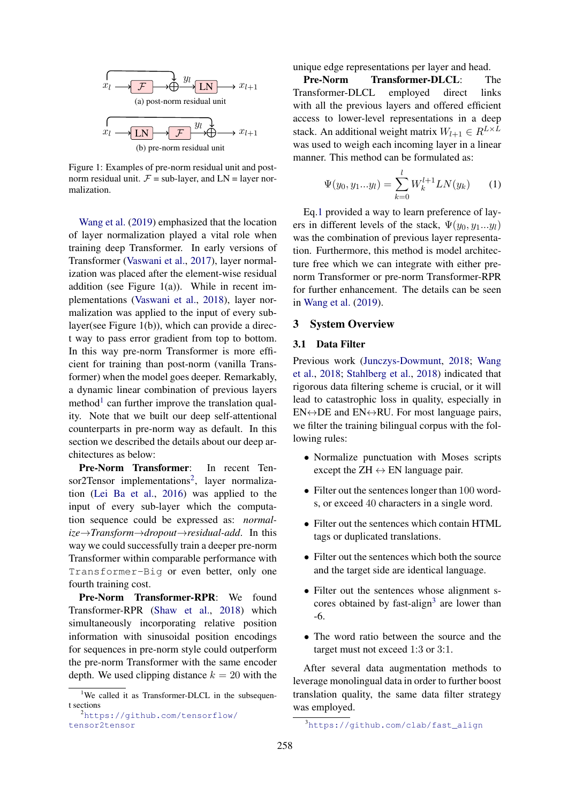

Figure 1: Examples of pre-norm residual unit and postnorm residual unit.  $F = sub-layer$ , and  $LN = layer$  normalization.

[Wang et al.](#page-9-2) [\(2019\)](#page-9-2) emphasized that the location of layer normalization played a vital role when training deep Transformer. In early versions of Transformer [\(Vaswani et al.,](#page-9-3) [2017\)](#page-9-3), layer normalization was placed after the element-wise residual addition (see Figure 1(a)). While in recent implementations [\(Vaswani et al.,](#page-9-4) [2018\)](#page-9-4), layer normalization was applied to the input of every sublayer(see Figure 1(b)), which can provide a direct way to pass error gradient from top to bottom. In this way pre-norm Transformer is more efficient for training than post-norm (vanilla Transformer) when the model goes deeper. Remarkably, a dynamic linear combination of previous layers method<sup>[1](#page-1-0)</sup> can further improve the translation quality. Note that we built our deep self-attentional counterparts in pre-norm way as default. In this section we described the details about our deep architectures as below:

Pre-Norm Transformer: In recent Ten-sor[2](#page-1-1)Tensor implementations<sup>2</sup>, layer normalization [\(Lei Ba et al.,](#page-8-7) [2016\)](#page-8-7) was applied to the input of every sub-layer which the computation sequence could be expressed as: *normalize*→*Transform*→*dropout*→*residual-add*. In this way we could successfully train a deeper pre-norm Transformer within comparable performance with Transformer-Big or even better, only one fourth training cost.

Pre-Norm Transformer-RPR: We found Transformer-RPR [\(Shaw et al.,](#page-9-5) [2018\)](#page-9-5) which simultaneously incorporating relative position information with sinusoidal position encodings for sequences in pre-norm style could outperform the pre-norm Transformer with the same encoder depth. We used clipping distance  $k = 20$  with the unique edge representations per layer and head.

Pre-Norm Transformer-DLCL: The Transformer-DLCL employed direct links with all the previous layers and offered efficient access to lower-level representations in a deep stack. An additional weight matrix  $W_{l+1} \in R^{L \times L}$ was used to weigh each incoming layer in a linear manner. This method can be formulated as:

<span id="page-1-2"></span>
$$
\Psi(y_0, y_1...y_l) = \sum_{k=0}^{l} W_k^{l+1} LN(y_k)
$$
 (1)

Eq[.1](#page-1-2) provided a way to learn preference of layers in different levels of the stack,  $\Psi(y_0, y_1...y_l)$ was the combination of previous layer representation. Furthermore, this method is model architecture free which we can integrate with either prenorm Transformer or pre-norm Transformer-RPR for further enhancement. The details can be seen in [Wang et al.](#page-9-2) [\(2019\)](#page-9-2).

### 3 System Overview

### 3.1 Data Filter

Previous work [\(Junczys-Dowmunt,](#page-8-8) [2018;](#page-8-8) [Wang](#page-9-0) [et al.,](#page-9-0) [2018;](#page-9-0) [Stahlberg et al.,](#page-9-6) [2018\)](#page-9-6) indicated that rigorous data filtering scheme is crucial, or it will lead to catastrophic loss in quality, especially in  $EN \leftrightarrow DE$  and  $EN \leftrightarrow RU$ . For most language pairs, we filter the training bilingual corpus with the following rules:

- Normalize punctuation with Moses scripts except the  $ZH \leftrightarrow EN$  language pair.
- Filter out the sentences longer than 100 words, or exceed 40 characters in a single word.
- Filter out the sentences which contain HTML tags or duplicated translations.
- Filter out the sentences which both the source and the target side are identical language.
- Filter out the sentences whose alignment s-cores obtained by fast-align<sup>[3](#page-1-3)</sup> are lower than -6.
- The word ratio between the source and the target must not exceed 1:3 or 3:1.

After several data augmentation methods to leverage monolingual data in order to further boost translation quality, the same data filter strategy was employed.

<span id="page-1-0"></span><sup>&</sup>lt;sup>1</sup>We called it as Transformer-DLCL in the subsequent sections

<span id="page-1-1"></span><sup>2</sup>[https://github.com/tensorflow/](https://github.com/tensorflow/tensor2tensor) [tensor2tensor](https://github.com/tensorflow/tensor2tensor)

<span id="page-1-3"></span><sup>3</sup>[https://github.com/clab/fast\\_align](https://github.com/clab/fast_align)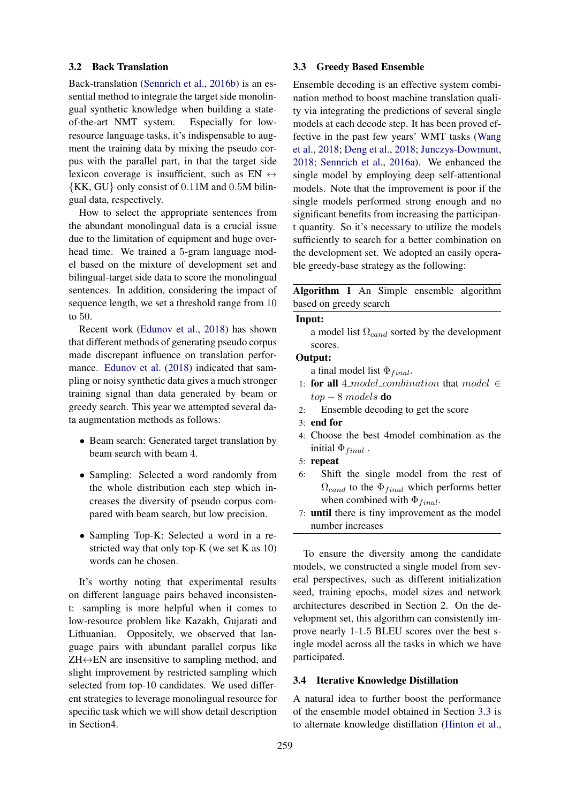### 3.2 Back Translation

Back-translation [\(Sennrich et al.,](#page-8-0) [2016b\)](#page-8-0) is an essential method to integrate the target side monolingual synthetic knowledge when building a stateof-the-art NMT system. Especially for lowresource language tasks, it's indispensable to augment the training data by mixing the pseudo corpus with the parallel part, in that the target side lexicon coverage is insufficient, such as EN  $\leftrightarrow$ {KK, GU} only consist of 0.11M and 0.5M bilingual data, respectively.

How to select the appropriate sentences from the abundant monolingual data is a crucial issue due to the limitation of equipment and huge overhead time. We trained a 5-gram language model based on the mixture of development set and bilingual-target side data to score the monolingual sentences. In addition, considering the impact of sequence length, we set a threshold range from 10 to 50.

Recent work [\(Edunov et al.,](#page-8-1) [2018\)](#page-8-1) has shown that different methods of generating pseudo corpus made discrepant influence on translation performance. [Edunov et al.](#page-8-1) [\(2018\)](#page-8-1) indicated that sampling or noisy synthetic data gives a much stronger training signal than data generated by beam or greedy search. This year we attempted several data augmentation methods as follows:

- Beam search: Generated target translation by beam search with beam 4.
- Sampling: Selected a word randomly from the whole distribution each step which increases the diversity of pseudo corpus compared with beam search, but low precision.
- Sampling Top-K: Selected a word in a restricted way that only top-K (we set K as 10) words can be chosen.

It's worthy noting that experimental results on different language pairs behaved inconsistent: sampling is more helpful when it comes to low-resource problem like Kazakh, Gujarati and Lithuanian. Oppositely, we observed that language pairs with abundant parallel corpus like  $ZH \leftrightarrow EN$  are insensitive to sampling method, and slight improvement by restricted sampling which selected from top-10 candidates. We used different strategies to leverage monolingual resource for specific task which we will show detail description in Section4.

## <span id="page-2-0"></span>3.3 Greedy Based Ensemble

Ensemble decoding is an effective system combination method to boost machine translation quality via integrating the predictions of several single models at each decode step. It has been proved effective in the past few years' WMT tasks [\(Wang](#page-9-0) [et al.,](#page-9-0) [2018;](#page-9-0) [Deng et al.,](#page-8-9) [2018;](#page-8-9) [Junczys-Dowmunt,](#page-8-8) [2018;](#page-8-8) [Sennrich et al.,](#page-8-10) [2016a\)](#page-8-10). We enhanced the single model by employing deep self-attentional models. Note that the improvement is poor if the single models performed strong enough and no significant benefits from increasing the participant quantity. So it's necessary to utilize the models sufficiently to search for a better combination on the development set. We adopted an easily operable greedy-base strategy as the following:

Algorithm 1 An Simple ensemble algorithm based on greedy search

#### Input:

a model list  $\Omega_{cand}$  sorted by the development scores.

#### Output:

a final model list  $\Phi_{final}$ .

- 1: for all 4\_model\_combination that model  $\in$  $top - 8$  models **do**
- 2: Ensemble decoding to get the score
- 3: end for
- 4: Choose the best 4model combination as the initial  $\Phi_{final}$ .
- 5: repeat
- 6: Shift the single model from the rest of  $\Omega_{cand}$  to the  $\Phi_{final}$  which performs better when combined with  $\Phi_{final}$ .
- <span id="page-2-1"></span>7: until there is tiny improvement as the model number increases

To ensure the diversity among the candidate models, we constructed a single model from several perspectives, such as different initialization seed, training epochs, model sizes and network architectures described in Section 2. On the development set, this algorithm can consistently improve nearly 1-1.5 BLEU scores over the best single model across all the tasks in which we have participated.

#### 3.4 Iterative Knowledge Distillation

A natural idea to further boost the performance of the ensemble model obtained in Section [3.3](#page-2-0) is to alternate knowledge distillation [\(Hinton et al.,](#page-8-11)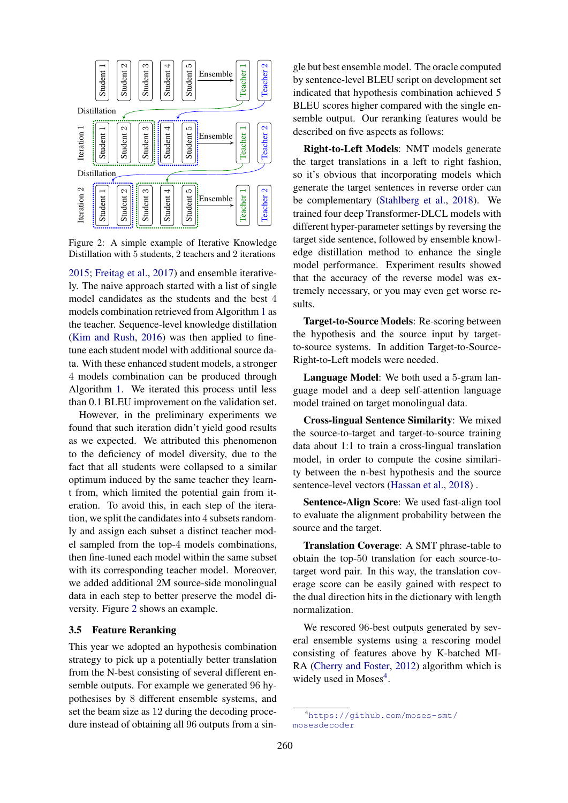<span id="page-3-0"></span>

Figure 2: A simple example of Iterative Knowledge Distillation with 5 students, 2 teachers and 2 iterations

[2015;](#page-8-11) [Freitag et al.,](#page-8-2) [2017\)](#page-8-2) and ensemble iteratively. The naive approach started with a list of single model candidates as the students and the best 4 models combination retrieved from Algorithm [1](#page-2-1) as the teacher. Sequence-level knowledge distillation [\(Kim and Rush,](#page-8-12) [2016\)](#page-8-12) was then applied to finetune each student model with additional source data. With these enhanced student models, a stronger 4 models combination can be produced through Algorithm [1.](#page-2-1) We iterated this process until less than 0.1 BLEU improvement on the validation set.

However, in the preliminary experiments we found that such iteration didn't yield good results as we expected. We attributed this phenomenon to the deficiency of model diversity, due to the fact that all students were collapsed to a similar optimum induced by the same teacher they learnt from, which limited the potential gain from iteration. To avoid this, in each step of the iteration, we split the candidates into 4 subsets randomly and assign each subset a distinct teacher model sampled from the top-4 models combinations, then fine-tuned each model within the same subset with its corresponding teacher model. Moreover, we added additional 2M source-side monolingual data in each step to better preserve the model diversity. Figure [2](#page-3-0) shows an example.

### 3.5 Feature Reranking

This year we adopted an hypothesis combination strategy to pick up a potentially better translation from the N-best consisting of several different ensemble outputs. For example we generated 96 hypothesises by 8 different ensemble systems, and set the beam size as 12 during the decoding procedure instead of obtaining all 96 outputs from a single but best ensemble model. The oracle computed by sentence-level BLEU script on development set indicated that hypothesis combination achieved 5 BLEU scores higher compared with the single ensemble output. Our reranking features would be described on five aspects as follows:

Right-to-Left Models: NMT models generate the target translations in a left to right fashion, so it's obvious that incorporating models which generate the target sentences in reverse order can be complementary [\(Stahlberg et al.,](#page-9-6) [2018\)](#page-9-6). We trained four deep Transformer-DLCL models with different hyper-parameter settings by reversing the target side sentence, followed by ensemble knowledge distillation method to enhance the single model performance. Experiment results showed that the accuracy of the reverse model was extremely necessary, or you may even get worse results.

Target-to-Source Models: Re-scoring between the hypothesis and the source input by targetto-source systems. In addition Target-to-Source-Right-to-Left models were needed.

Language Model: We both used a 5-gram language model and a deep self-attention language model trained on target monolingual data.

Cross-lingual Sentence Similarity: We mixed the source-to-target and target-to-source training data about 1:1 to train a cross-lingual translation model, in order to compute the cosine similarity between the n-best hypothesis and the source sentence-level vectors [\(Hassan et al.,](#page-8-3) [2018\)](#page-8-3) .

Sentence-Align Score: We used fast-align tool to evaluate the alignment probability between the source and the target.

Translation Coverage: A SMT phrase-table to obtain the top-50 translation for each source-totarget word pair. In this way, the translation coverage score can be easily gained with respect to the dual direction hits in the dictionary with length normalization.

We rescored 96-best outputs generated by several ensemble systems using a rescoring model consisting of features above by K-batched MI-RA [\(Cherry and Foster,](#page-8-13) [2012\)](#page-8-13) algorithm which is widely used in Moses<sup>[4](#page-3-1)</sup>.

<span id="page-3-1"></span><sup>4</sup>[https://github.com/moses-smt/](https://github.com/moses-smt/mosesdecoder) [mosesdecoder](https://github.com/moses-smt/mosesdecoder)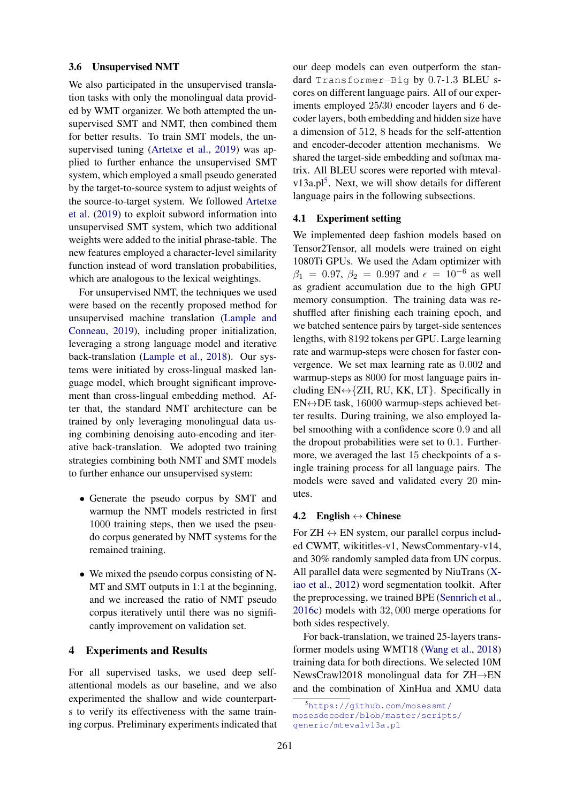### 3.6 Unsupervised NMT

We also participated in the unsupervised translation tasks with only the monolingual data provided by WMT organizer. We both attempted the unsupervised SMT and NMT, then combined them for better results. To train SMT models, the unsupervised tuning [\(Artetxe et al.,](#page-8-4) [2019\)](#page-8-4) was applied to further enhance the unsupervised SMT system, which employed a small pseudo generated by the target-to-source system to adjust weights of the source-to-target system. We followed [Artetxe](#page-8-4) [et al.](#page-8-4) [\(2019\)](#page-8-4) to exploit subword information into unsupervised SMT system, which two additional weights were added to the initial phrase-table. The new features employed a character-level similarity function instead of word translation probabilities, which are analogous to the lexical weightings.

For unsupervised NMT, the techniques we used were based on the recently proposed method for unsupervised machine translation [\(Lample and](#page-8-5) [Conneau,](#page-8-5) [2019\)](#page-8-5), including proper initialization, leveraging a strong language model and iterative back-translation [\(Lample et al.,](#page-8-14) [2018\)](#page-8-14). Our systems were initiated by cross-lingual masked language model, which brought significant improvement than cross-lingual embedding method. After that, the standard NMT architecture can be trained by only leveraging monolingual data using combining denoising auto-encoding and iterative back-translation. We adopted two training strategies combining both NMT and SMT models to further enhance our unsupervised system:

- Generate the pseudo corpus by SMT and warmup the NMT models restricted in first 1000 training steps, then we used the pseudo corpus generated by NMT systems for the remained training.
- We mixed the pseudo corpus consisting of N-MT and SMT outputs in 1:1 at the beginning, and we increased the ratio of NMT pseudo corpus iteratively until there was no significantly improvement on validation set.

### 4 Experiments and Results

For all supervised tasks, we used deep selfattentional models as our baseline, and we also experimented the shallow and wide counterparts to verify its effectiveness with the same training corpus. Preliminary experiments indicated that

our deep models can even outperform the standard Transformer-Big by 0.7-1.3 BLEU scores on different language pairs. All of our experiments employed 25/30 encoder layers and 6 decoder layers, both embedding and hidden size have a dimension of 512, 8 heads for the self-attention and encoder-decoder attention mechanisms. We shared the target-side embedding and softmax matrix. All BLEU scores were reported with mteval-v13a.pl<sup>[5](#page-4-0)</sup>. Next, we will show details for different language pairs in the following subsections.

#### 4.1 Experiment setting

We implemented deep fashion models based on Tensor2Tensor, all models were trained on eight 1080Ti GPUs. We used the Adam optimizer with  $\beta_1 = 0.97, \beta_2 = 0.997$  and  $\epsilon = 10^{-6}$  as well as gradient accumulation due to the high GPU memory consumption. The training data was reshuffled after finishing each training epoch, and we batched sentence pairs by target-side sentences lengths, with 8192 tokens per GPU. Large learning rate and warmup-steps were chosen for faster convergence. We set max learning rate as 0.002 and warmup-steps as 8000 for most language pairs including  $EN \leftrightarrow \{ZH, RU, KK, LT\}$ . Specifically in  $EN \leftrightarrow DE$  task, 16000 warmup-steps achieved better results. During training, we also employed label smoothing with a confidence score 0.9 and all the dropout probabilities were set to 0.1. Furthermore, we averaged the last 15 checkpoints of a single training process for all language pairs. The models were saved and validated every 20 minutes.

#### 4.2 English  $\leftrightarrow$  Chinese

For  $ZH \leftrightarrow EN$  system, our parallel corpus included CWMT, wikititles-v1, NewsCommentary-v14, and 30% randomly sampled data from UN corpus. All parallel data were segmented by NiuTrans [\(X](#page-9-7)[iao et al.,](#page-9-7) [2012\)](#page-9-7) word segmentation toolkit. After the preprocessing, we trained BPE [\(Sennrich et al.,](#page-9-1) [2016c\)](#page-9-1) models with 32, 000 merge operations for both sides respectively.

For back-translation, we trained 25-layers transformer models using WMT18 [\(Wang et al.,](#page-9-0) [2018\)](#page-9-0) training data for both directions. We selected 10M NewsCrawl2018 monolingual data for ZH→EN and the combination of XinHua and XMU data

<span id="page-4-0"></span><sup>5</sup>[https://github.com/mosessmt/](https://github.com/mosessmt/mosesdecoder/blob/master/scripts/generic/mtevalv13a.pl) [mosesdecoder/blob/master/scripts/](https://github.com/mosessmt/mosesdecoder/blob/master/scripts/generic/mtevalv13a.pl) [generic/mtevalv13a.pl](https://github.com/mosessmt/mosesdecoder/blob/master/scripts/generic/mtevalv13a.pl)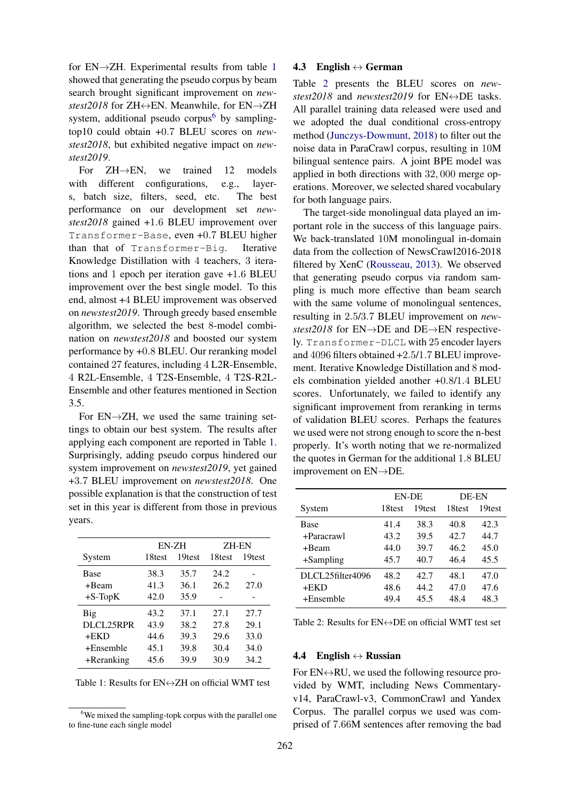for EN→ZH. Experimental results from table [1](#page-5-0) showed that generating the pseudo corpus by beam search brought significant improvement on *newstest2018* for ZH↔EN. Meanwhile, for EN→ZH system, additional pseudo corpus<sup>[6](#page-5-1)</sup> by samplingtop10 could obtain +0.7 BLEU scores on *newstest2018*, but exhibited negative impact on *newstest2019*.

For ZH→EN, we trained 12 models with different configurations, e.g., layers, batch size, filters, seed, etc. The best performance on our development set *newstest2018* gained +1.6 BLEU improvement over Transformer-Base, even +0.7 BLEU higher than that of Transformer-Big. Iterative Knowledge Distillation with 4 teachers, 3 iterations and 1 epoch per iteration gave +1.6 BLEU improvement over the best single model. To this end, almost +4 BLEU improvement was observed on *newstest2019*. Through greedy based ensemble algorithm, we selected the best 8-model combination on *newstest2018* and boosted our system performance by +0.8 BLEU. Our reranking model contained 27 features, including 4 L2R-Ensemble, 4 R2L-Ensemble, 4 T2S-Ensemble, 4 T2S-R2L-Ensemble and other features mentioned in Section 3.5.

For  $EN \rightarrow ZH$ , we used the same training settings to obtain our best system. The results after applying each component are reported in Table [1.](#page-5-0) Surprisingly, adding pseudo corpus hindered our system improvement on *newstest2019*, yet gained +3.7 BLEU improvement on *newstest2018*. One possible explanation is that the construction of test set in this year is different from those in previous years.

<span id="page-5-0"></span>

|               | EN-ZH  |        | <b>ZH-EN</b> |        |
|---------------|--------|--------|--------------|--------|
| System        | 18test | 19test | 18test       | 19test |
| <b>Base</b>   | 38.3   | 35.7   | 24.2         |        |
| +Beam         | 41.3   | 36.1   | 26.2         | 27.0   |
| $+S$ -TopK    | 42.0   | 35.9   |              |        |
| Big           | 43.2   | 37.1   | 27.1         | 27.7   |
| DLCL25RPR     | 43.9   | 38.2   | 27.8         | 29.1   |
| $+$ EKD       | 44.6   | 39.3   | 29.6         | 33.0   |
| $+Ensemble$   | 45.1   | 39.8   | 30.4         | 34.0   |
| $+$ Reranking | 45.6   | 39.9   | 30.9         | 34.2   |

Table 1: Results for  $EN \leftrightarrow ZH$  on official WMT test

### 4.3 English  $\leftrightarrow$  German

Table [2](#page-5-2) presents the BLEU scores on *newstest2018* and *newstest2019* for EN↔DE tasks. All parallel training data released were used and we adopted the dual conditional cross-entropy method [\(Junczys-Dowmunt,](#page-8-8) [2018\)](#page-8-8) to filter out the noise data in ParaCrawl corpus, resulting in 10M bilingual sentence pairs. A joint BPE model was applied in both directions with 32, 000 merge operations. Moreover, we selected shared vocabulary for both language pairs.

The target-side monolingual data played an important role in the success of this language pairs. We back-translated 10M monolingual in-domain data from the collection of NewsCrawl2016-2018 filtered by XenC [\(Rousseau,](#page-8-15) [2013\)](#page-8-15). We observed that generating pseudo corpus via random sampling is much more effective than beam search with the same volume of monolingual sentences, resulting in 2.5/3.7 BLEU improvement on *newstest2018* for EN→DE and DE→EN respectively. Transformer-DLCL with 25 encoder layers and 4096 filters obtained +2.5/1.7 BLEU improvement. Iterative Knowledge Distillation and 8 models combination yielded another +0.8/1.4 BLEU scores. Unfortunately, we failed to identify any significant improvement from reranking in terms of validation BLEU scores. Perhaps the features we used were not strong enough to score the n-best properly. It's worth noting that we re-normalized the quotes in German for the additional 1.8 BLEU improvement on EN→DE.

<span id="page-5-2"></span>

|                  | EN-DE  |        | <b>DE-EN</b> |        |
|------------------|--------|--------|--------------|--------|
| System           | 18test | 19test | 18test       | 19test |
| Base             | 41.4   | 38.3   | 40.8         | 42.3   |
| +Paracrawl       | 43.2   | 39.5   | 42.7         | 44.7   |
| +Beam            | 44.0   | 39.7   | 46.2         | 45.0   |
| $+$ Sampling     | 45.7   | 40.7   | 46.4         | 45.5   |
| DLCL25filter4096 | 48.2   | 42.7   | 48.1         | 47.0   |
| $+$ EKD          | 48.6   | 44.2   | 47.0         | 47.6   |
| $+E$ nsemble     | 49.4   | 45.5   | 48.4         | 48.3   |

Table 2: Results for  $EN \leftrightarrow DE$  on official WMT test set

## 4.4 English  $\leftrightarrow$  Russian

For  $EN \leftrightarrow RU$ , we used the following resource provided by WMT, including News Commentaryv14, ParaCrawl-v3, CommonCrawl and Yandex Corpus. The parallel corpus we used was comprised of 7.66M sentences after removing the bad

<span id="page-5-1"></span><sup>&</sup>lt;sup>6</sup>We mixed the sampling-topk corpus with the parallel one to fine-tune each single model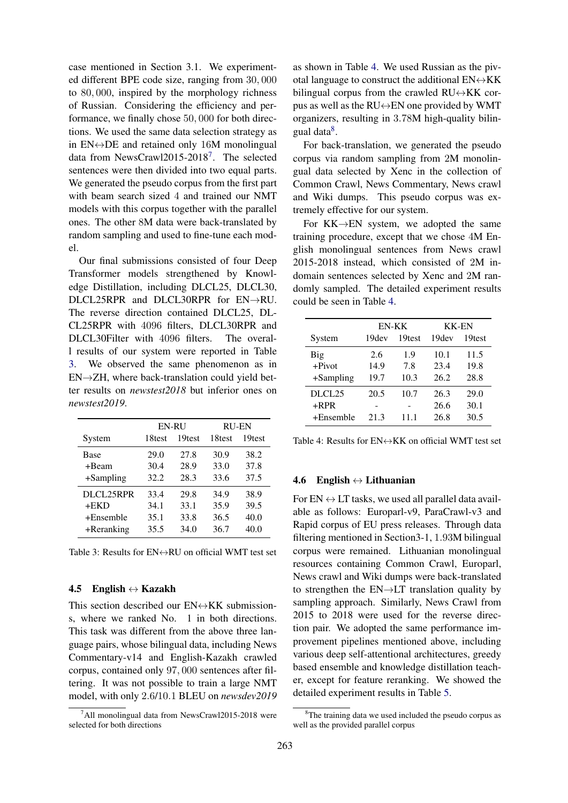case mentioned in Section 3.1. We experimented different BPE code size, ranging from 30, 000 to 80, 000, inspired by the morphology richness of Russian. Considering the efficiency and performance, we finally chose 50, 000 for both directions. We used the same data selection strategy as in  $EN \leftrightarrow DE$  and retained only 16M monolingual data from NewsCrawl2015-2018<sup>[7](#page-6-0)</sup>. The selected sentences were then divided into two equal parts. We generated the pseudo corpus from the first part with beam search sized 4 and trained our NMT models with this corpus together with the parallel ones. The other 8M data were back-translated by random sampling and used to fine-tune each model.

Our final submissions consisted of four Deep Transformer models strengthened by Knowledge Distillation, including DLCL25, DLCL30, DLCL25RPR and DLCL30RPR for EN→RU. The reverse direction contained DLCL25, DL-CL25RPR with 4096 filters, DLCL30RPR and DLCL30Filter with 4096 filters. The overall results of our system were reported in Table [3.](#page-6-1) We observed the same phenomenon as in  $EN\rightarrow ZH$ , where back-translation could yield better results on *newstest2018* but inferior ones on *newstest2019*.

<span id="page-6-1"></span>

|            | <b>EN-RU</b> |        | <b>RU-EN</b>       |        |
|------------|--------------|--------|--------------------|--------|
| System     | 18test       | 19test | 18 <sub>test</sub> | 19test |
| Base       | 29.0         | 27.8   | 30.9               | 38.2   |
| +Beam      | 30.4         | 28.9   | 33.0               | 37.8   |
| +Sampling  | 32.2         | 28.3   | 33.6               | 37.5   |
| DLCL25RPR  | 33.4         | 29.8   | 34.9               | 38.9   |
| +EKD       | 34.1         | 33.1   | 35.9               | 39.5   |
| +Ensemble  | 35.1         | 33.8   | 36.5               | 40.0   |
| +Reranking | 35.5         | 34.0   | 36.7               | 40.0   |

Table 3: Results for  $EN \leftrightarrow RU$  on official WMT test set

### 4.5 English  $\leftrightarrow$  Kazakh

This section described our  $EN \leftrightarrow KK$  submissions, where we ranked No. 1 in both directions. This task was different from the above three language pairs, whose bilingual data, including News Commentary-v14 and English-Kazakh crawled corpus, contained only 97, 000 sentences after filtering. It was not possible to train a large NMT model, with only 2.6/10.1 BLEU on *newsdev2019*

as shown in Table [4.](#page-6-2) We used Russian as the pivotal language to construct the additional  $EN \leftrightarrow KK$ bilingual corpus from the crawled  $RU \leftrightarrow KK$  corpus as well as the RU↔EN one provided by WMT organizers, resulting in 3.78M high-quality bilin-gual data<sup>[8](#page-6-3)</sup>.

For back-translation, we generated the pseudo corpus via random sampling from 2M monolingual data selected by Xenc in the collection of Common Crawl, News Commentary, News crawl and Wiki dumps. This pseudo corpus was extremely effective for our system.

For  $KK \rightarrow EN$  system, we adopted the same training procedure, except that we chose 4M English monolingual sentences from News crawl 2015-2018 instead, which consisted of 2M indomain sentences selected by Xenc and 2M randomly sampled. The detailed experiment results could be seen in Table [4.](#page-6-2)

<span id="page-6-2"></span>

|                    | EN-KK |        | <b>KK-EN</b> |        |
|--------------------|-------|--------|--------------|--------|
| System             | 19dev | 19test | 19dev        | 19test |
| Big                | 2.6   | 1.9    | 10.1         | 11.5   |
| $+Pivot$           | 14.9  | 7.8    | 23.4         | 19.8   |
| $+$ Sampling       | 19.7  | 10.3   | 26.2         | 28.8   |
| DLCL <sub>25</sub> | 20.5  | 10.7   | 26.3         | 29.0   |
| $+RPR$             |       |        | 26.6         | 30.1   |
| $+E$ nsemble       | 21.3  | 11 1   | 26.8         | 30.5   |

Table 4: Results for  $EN \leftrightarrow KK$  on official WMT test set

#### 4.6 English  $\leftrightarrow$  Lithuanian

For  $EN \leftrightarrow LT$  tasks, we used all parallel data available as follows: Europarl-v9, ParaCrawl-v3 and Rapid corpus of EU press releases. Through data filtering mentioned in Section3-1, 1.93M bilingual corpus were remained. Lithuanian monolingual resources containing Common Crawl, Europarl, News crawl and Wiki dumps were back-translated to strengthen the EN→LT translation quality by sampling approach. Similarly, News Crawl from 2015 to 2018 were used for the reverse direction pair. We adopted the same performance improvement pipelines mentioned above, including various deep self-attentional architectures, greedy based ensemble and knowledge distillation teacher, except for feature reranking. We showed the detailed experiment results in Table [5.](#page-7-0)

<span id="page-6-0"></span> $^7$ All monolingual data from NewsCrawl2015-2018 were selected for both directions

<span id="page-6-3"></span><sup>&</sup>lt;sup>8</sup>The training data we used included the pseudo corpus as well as the provided parallel corpus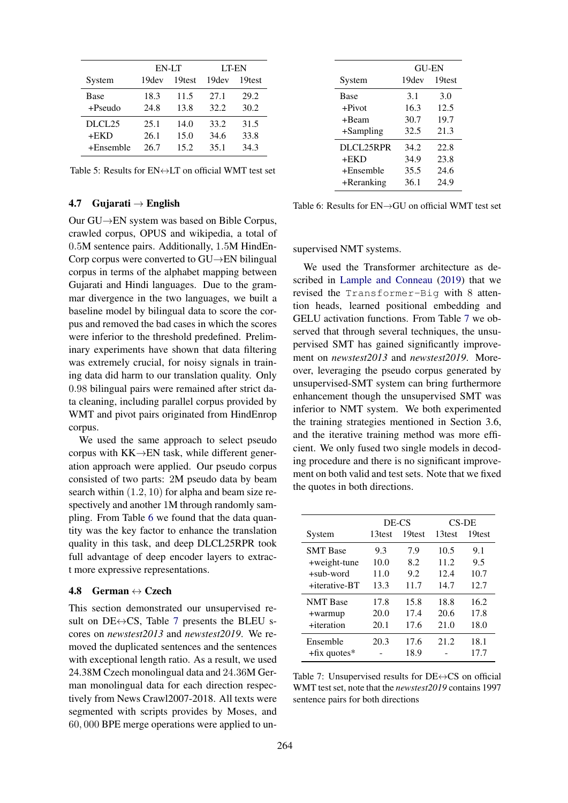<span id="page-7-0"></span>

|              | EN-LT |        | LT-EN |        |
|--------------|-------|--------|-------|--------|
| System       | 19dev | 19test | 19dev | 19test |
| Base         | 18.3  | 11.5   | 2.7.1 | 29.2   |
| $+Pseudo$    | 24.8  | 13.8   | 32.2  | 30.2   |
| DLCL25       | 25.1  | 14.0   | 33.2  | 31.5   |
| $+$ EKD      | 26.1  | 15.0   | 34.6  | 33.8   |
| $+E$ nsemble | 26.7  | 15.2   | 35.1  | 34.3   |

Table 5: Results for  $EN \leftrightarrow LT$  on official WMT test set

## 4.7 Gujarati  $\rightarrow$  English

Our GU→EN system was based on Bible Corpus, crawled corpus, OPUS and wikipedia, a total of 0.5M sentence pairs. Additionally, 1.5M HindEn-Corp corpus were converted to GU→EN bilingual corpus in terms of the alphabet mapping between Gujarati and Hindi languages. Due to the grammar divergence in the two languages, we built a baseline model by bilingual data to score the corpus and removed the bad cases in which the scores were inferior to the threshold predefined. Preliminary experiments have shown that data filtering was extremely crucial, for noisy signals in training data did harm to our translation quality. Only 0.98 bilingual pairs were remained after strict data cleaning, including parallel corpus provided by WMT and pivot pairs originated from HindEnrop corpus.

We used the same approach to select pseudo corpus with KK→EN task, while different generation approach were applied. Our pseudo corpus consisted of two parts: 2M pseudo data by beam search within (1.2, 10) for alpha and beam size respectively and another 1M through randomly sampling. From Table [6](#page-7-1) we found that the data quantity was the key factor to enhance the translation quality in this task, and deep DLCL25RPR took full advantage of deep encoder layers to extract more expressive representations.

## 4.8 German  $\leftrightarrow$  Czech

This section demonstrated our unsupervised result on DE $\leftrightarrow$ CS, Table [7](#page-7-2) presents the BLEU scores on *newstest2013* and *newstest2019*. We removed the duplicated sentences and the sentences with exceptional length ratio. As a result, we used 24.38M Czech monolingual data and 24.36M German monolingual data for each direction respectively from News Crawl2007-2018. All texts were segmented with scripts provides by Moses, and 60, 000 BPE merge operations were applied to un-

<span id="page-7-1"></span>

|               | <b>GU-EN</b> |                    |  |
|---------------|--------------|--------------------|--|
| System        | 19dev        | 19 <sub>test</sub> |  |
| Base          | 3.1          | 3.0                |  |
| $+Pivot$      | 16.3         | 12.5               |  |
| +Beam         | 30.7         | 19.7               |  |
| $+$ Sampling  | 32.5         | 21.3               |  |
| DLCL25RPR     | 34.2         | 22.8               |  |
| $+$ EKD       | 34.9         | 23.8               |  |
| $+E$ nsemble  | 35.5         | 24.6               |  |
| $+$ Reranking | 36.1         | 24.9               |  |

Table 6: Results for EN→GU on official WMT test set

### supervised NMT systems.

We used the Transformer architecture as described in [Lample and Conneau](#page-8-5) [\(2019\)](#page-8-5) that we revised the Transformer-Big with 8 attention heads, learned positional embedding and GELU activation functions. From Table [7](#page-7-2) we observed that through several techniques, the unsupervised SMT has gained significantly improvement on *newstest2013* and *newstest2019*. Moreover, leveraging the pseudo corpus generated by unsupervised-SMT system can bring furthermore enhancement though the unsupervised SMT was inferior to NMT system. We both experimented the training strategies mentioned in Section 3.6, and the iterative training method was more efficient. We only fused two single models in decoding procedure and there is no significant improvement on both valid and test sets. Note that we fixed the quotes in both directions.

<span id="page-7-2"></span>

|                 | DE-CS  |        | $CS$ -DE |        |
|-----------------|--------|--------|----------|--------|
| System          | 13test | 19test | 13test   | 19test |
| <b>SMT</b> Base | 9.3    | 7.9    | 10.5     | 9.1    |
| +weight-tune    | 10.0   | 8.2    | 11.2     | 9.5    |
| $+sub-word$     | 11.0   | 9.2    | 12.4     | 10.7   |
| +iterative-BT   | 13.3   | 11.7   | 14.7     | 12.7   |
| <b>NMT</b> Base | 17.8   | 15.8   | 18.8     | 16.2   |
| +warmup         | 20.0   | 17.4   | 20.6     | 17.8   |
| +iteration      | 20.1   | 17.6   | 21.0     | 18.0   |
| Ensemble        | 20.3   | 17.6   | 21.2     | 18.1   |
| $+fix$ quotes*  |        | 18.9   |          | 17.7   |

Table 7: Unsupervised results for  $DE \leftrightarrow CS$  on official WMT test set, note that the *newstest2019* contains 1997 sentence pairs for both directions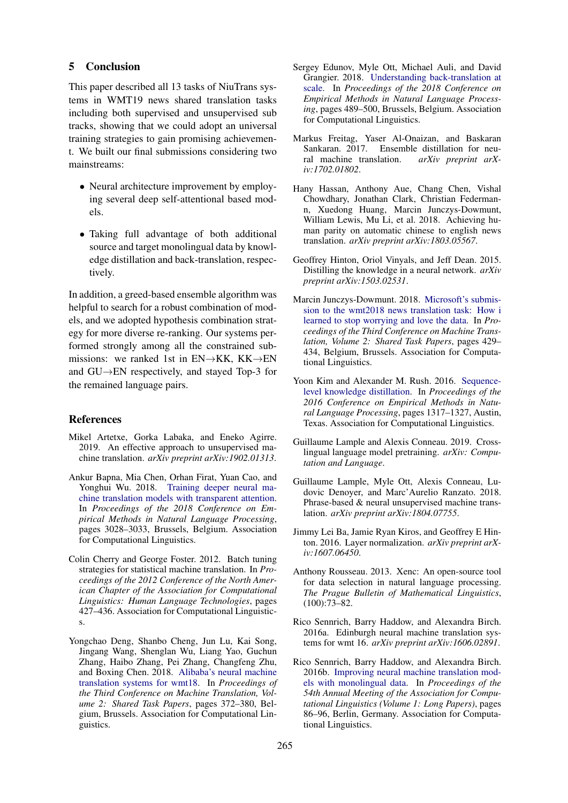# 5 Conclusion

This paper described all 13 tasks of NiuTrans systems in WMT19 news shared translation tasks including both supervised and unsupervised sub tracks, showing that we could adopt an universal training strategies to gain promising achievement. We built our final submissions considering two mainstreams:

- Neural architecture improvement by employing several deep self-attentional based models.
- Taking full advantage of both additional source and target monolingual data by knowledge distillation and back-translation, respectively.

In addition, a greed-based ensemble algorithm was helpful to search for a robust combination of models, and we adopted hypothesis combination strategy for more diverse re-ranking. Our systems performed strongly among all the constrained submissions: we ranked 1st in EN→KK, KK→EN and GU→EN respectively, and stayed Top-3 for the remained language pairs.

#### References

- <span id="page-8-4"></span>Mikel Artetxe, Gorka Labaka, and Eneko Agirre. 2019. An effective approach to unsupervised machine translation. *arXiv preprint arXiv:1902.01313*.
- <span id="page-8-6"></span>Ankur Bapna, Mia Chen, Orhan Firat, Yuan Cao, and Yonghui Wu. 2018. [Training deeper neural ma](https://www.aclweb.org/anthology/D18-1338)[chine translation models with transparent attention.](https://www.aclweb.org/anthology/D18-1338) In *Proceedings of the 2018 Conference on Empirical Methods in Natural Language Processing*, pages 3028–3033, Brussels, Belgium. Association for Computational Linguistics.
- <span id="page-8-13"></span>Colin Cherry and George Foster. 2012. Batch tuning strategies for statistical machine translation. In *Proceedings of the 2012 Conference of the North American Chapter of the Association for Computational Linguistics: Human Language Technologies*, pages 427–436. Association for Computational Linguistics.
- <span id="page-8-9"></span>Yongchao Deng, Shanbo Cheng, Jun Lu, Kai Song, Jingang Wang, Shenglan Wu, Liang Yao, Guchun Zhang, Haibo Zhang, Pei Zhang, Changfeng Zhu, and Boxing Chen. 2018. [Alibaba's neural machine](http://www.aclweb.org/anthology/W18-6408) [translation systems for wmt18.](http://www.aclweb.org/anthology/W18-6408) In *Proceedings of the Third Conference on Machine Translation, Volume 2: Shared Task Papers*, pages 372–380, Belgium, Brussels. Association for Computational Linguistics.
- <span id="page-8-1"></span>Sergey Edunov, Myle Ott, Michael Auli, and David Grangier. 2018. [Understanding back-translation at](https://www.aclweb.org/anthology/D18-1045) [scale.](https://www.aclweb.org/anthology/D18-1045) In *Proceedings of the 2018 Conference on Empirical Methods in Natural Language Processing*, pages 489–500, Brussels, Belgium. Association for Computational Linguistics.
- <span id="page-8-2"></span>Markus Freitag, Yaser Al-Onaizan, and Baskaran Sankaran. 2017. Ensemble distillation for neural machine translation. *arXiv preprint arXiv:1702.01802*.
- <span id="page-8-3"></span>Hany Hassan, Anthony Aue, Chang Chen, Vishal Chowdhary, Jonathan Clark, Christian Federmann, Xuedong Huang, Marcin Junczys-Dowmunt, William Lewis, Mu Li, et al. 2018. Achieving human parity on automatic chinese to english news translation. *arXiv preprint arXiv:1803.05567*.
- <span id="page-8-11"></span>Geoffrey Hinton, Oriol Vinyals, and Jeff Dean. 2015. Distilling the knowledge in a neural network. *arXiv preprint arXiv:1503.02531*.
- <span id="page-8-8"></span>Marcin Junczys-Dowmunt. 2018. [Microsoft's submis](http://www.aclweb.org/anthology/W18-6415)[sion to the wmt2018 news translation task: How i](http://www.aclweb.org/anthology/W18-6415) [learned to stop worrying and love the data.](http://www.aclweb.org/anthology/W18-6415) In *Proceedings of the Third Conference on Machine Translation, Volume 2: Shared Task Papers*, pages 429– 434, Belgium, Brussels. Association for Computational Linguistics.
- <span id="page-8-12"></span>Yoon Kim and Alexander M. Rush. 2016. [Sequence](https://doi.org/10.18653/v1/D16-1139)[level knowledge distillation.](https://doi.org/10.18653/v1/D16-1139) In *Proceedings of the 2016 Conference on Empirical Methods in Natural Language Processing*, pages 1317–1327, Austin, Texas. Association for Computational Linguistics.
- <span id="page-8-5"></span>Guillaume Lample and Alexis Conneau. 2019. Crosslingual language model pretraining. *arXiv: Computation and Language*.
- <span id="page-8-14"></span>Guillaume Lample, Myle Ott, Alexis Conneau, Ludovic Denoyer, and Marc'Aurelio Ranzato. 2018. Phrase-based & neural unsupervised machine translation. *arXiv preprint arXiv:1804.07755*.
- <span id="page-8-7"></span>Jimmy Lei Ba, Jamie Ryan Kiros, and Geoffrey E Hinton. 2016. Layer normalization. *arXiv preprint arXiv:1607.06450*.
- <span id="page-8-15"></span>Anthony Rousseau. 2013. Xenc: An open-source tool for data selection in natural language processing. *The Prague Bulletin of Mathematical Linguistics*, (100):73–82.
- <span id="page-8-10"></span>Rico Sennrich, Barry Haddow, and Alexandra Birch. 2016a. Edinburgh neural machine translation systems for wmt 16. *arXiv preprint arXiv:1606.02891*.
- <span id="page-8-0"></span>Rico Sennrich, Barry Haddow, and Alexandra Birch. 2016b. [Improving neural machine translation mod](https://doi.org/10.18653/v1/P16-1009)[els with monolingual data.](https://doi.org/10.18653/v1/P16-1009) In *Proceedings of the 54th Annual Meeting of the Association for Computational Linguistics (Volume 1: Long Papers)*, pages 86–96, Berlin, Germany. Association for Computational Linguistics.